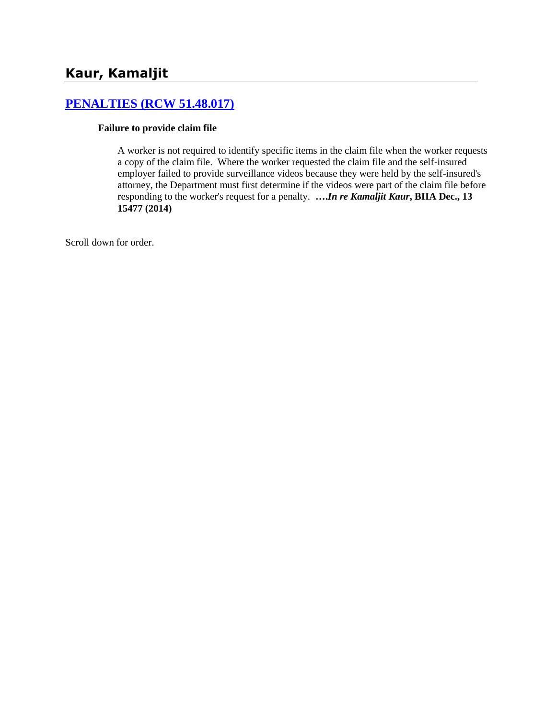# **[PENALTIES \(RCW 51.48.017\)](http://www.biia.wa.gov/SDSubjectIndex.html#PENALTIES)**

#### **Failure to provide claim file**

A worker is not required to identify specific items in the claim file when the worker requests a copy of the claim file. Where the worker requested the claim file and the self-insured employer failed to provide surveillance videos because they were held by the self-insured's attorney, the Department must first determine if the videos were part of the claim file before responding to the worker's request for a penalty. **….***In re Kamaljit Kaur***, BIIA Dec., 13 15477 (2014)**

Scroll down for order.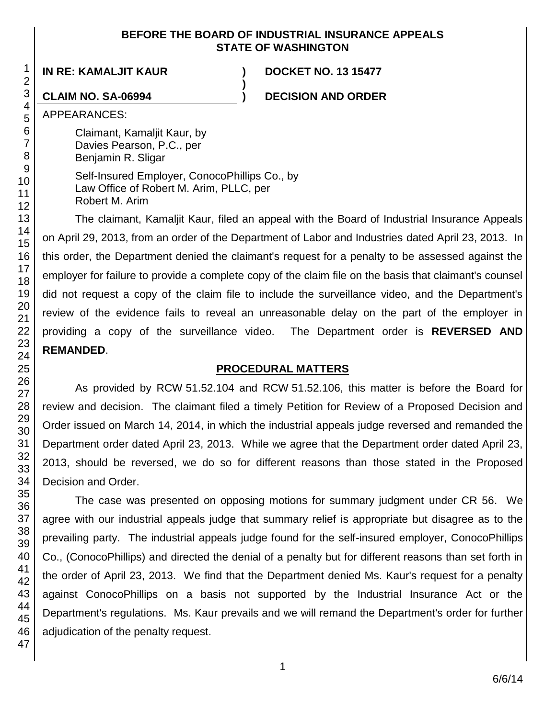### **BEFORE THE BOARD OF INDUSTRIAL INSURANCE APPEALS STATE OF WASHINGTON**

**)**

**IN RE: KAMALJIT KAUR ) DOCKET NO. 13 15477**

**CLAIM NO. SA-06994 ) DECISION AND ORDER**

APPEARANCES:

Claimant, Kamaljit Kaur, by Davies Pearson, P.C., per Benjamin R. Sligar

Self-Insured Employer, ConocoPhillips Co., by Law Office of Robert M. Arim, PLLC, per Robert M. Arim

The claimant, Kamaljit Kaur, filed an appeal with the Board of Industrial Insurance Appeals on April 29, 2013, from an order of the Department of Labor and Industries dated April 23, 2013. In this order, the Department denied the claimant's request for a penalty to be assessed against the employer for failure to provide a complete copy of the claim file on the basis that claimant's counsel did not request a copy of the claim file to include the surveillance video, and the Department's review of the evidence fails to reveal an unreasonable delay on the part of the employer in providing a copy of the surveillance video. The Department order is **REVERSED AND REMANDED**.

# **PROCEDURAL MATTERS**

As provided by RCW 51.52.104 and RCW 51.52.106, this matter is before the Board for review and decision. The claimant filed a timely Petition for Review of a Proposed Decision and Order issued on March 14, 2014, in which the industrial appeals judge reversed and remanded the Department order dated April 23, 2013. While we agree that the Department order dated April 23, 2013, should be reversed, we do so for different reasons than those stated in the Proposed Decision and Order.

The case was presented on opposing motions for summary judgment under CR 56. We agree with our industrial appeals judge that summary relief is appropriate but disagree as to the prevailing party. The industrial appeals judge found for the self-insured employer, ConocoPhillips Co., (ConocoPhillips) and directed the denial of a penalty but for different reasons than set forth in the order of April 23, 2013. We find that the Department denied Ms. Kaur's request for a penalty against ConocoPhillips on a basis not supported by the Industrial Insurance Act or the Department's regulations. Ms. Kaur prevails and we will remand the Department's order for further adjudication of the penalty request.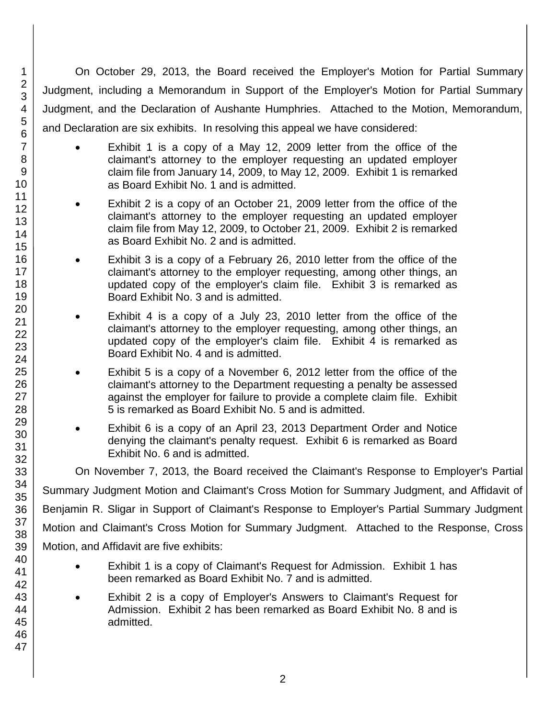On October 29, 2013, the Board received the Employer's Motion for Partial Summary Judgment, including a Memorandum in Support of the Employer's Motion for Partial Summary Judgment, and the Declaration of Aushante Humphries. Attached to the Motion, Memorandum, and Declaration are six exhibits. In resolving this appeal we have considered:

- Exhibit 1 is a copy of a May 12, 2009 letter from the office of the claimant's attorney to the employer requesting an updated employer claim file from January 14, 2009, to May 12, 2009. Exhibit 1 is remarked as Board Exhibit No. 1 and is admitted.
- Exhibit 2 is a copy of an October 21, 2009 letter from the office of the claimant's attorney to the employer requesting an updated employer claim file from May 12, 2009, to October 21, 2009. Exhibit 2 is remarked as Board Exhibit No. 2 and is admitted.
- Exhibit 3 is a copy of a February 26, 2010 letter from the office of the claimant's attorney to the employer requesting, among other things, an updated copy of the employer's claim file. Exhibit 3 is remarked as Board Exhibit No. 3 and is admitted.
- Exhibit 4 is a copy of a July 23, 2010 letter from the office of the claimant's attorney to the employer requesting, among other things, an updated copy of the employer's claim file. Exhibit 4 is remarked as Board Exhibit No. 4 and is admitted.
- Exhibit 5 is a copy of a November 6, 2012 letter from the office of the claimant's attorney to the Department requesting a penalty be assessed against the employer for failure to provide a complete claim file. Exhibit 5 is remarked as Board Exhibit No. 5 and is admitted.
- Exhibit 6 is a copy of an April 23, 2013 Department Order and Notice denying the claimant's penalty request. Exhibit 6 is remarked as Board Exhibit No. 6 and is admitted.

On November 7, 2013, the Board received the Claimant's Response to Employer's Partial

Summary Judgment Motion and Claimant's Cross Motion for Summary Judgment, and Affidavit of Benjamin R. Sligar in Support of Claimant's Response to Employer's Partial Summary Judgment

Motion and Claimant's Cross Motion for Summary Judgment. Attached to the Response, Cross Motion, and Affidavit are five exhibits:

- Exhibit 1 is a copy of Claimant's Request for Admission. Exhibit 1 has been remarked as Board Exhibit No. 7 and is admitted.
- Exhibit 2 is a copy of Employer's Answers to Claimant's Request for Admission. Exhibit 2 has been remarked as Board Exhibit No. 8 and is admitted.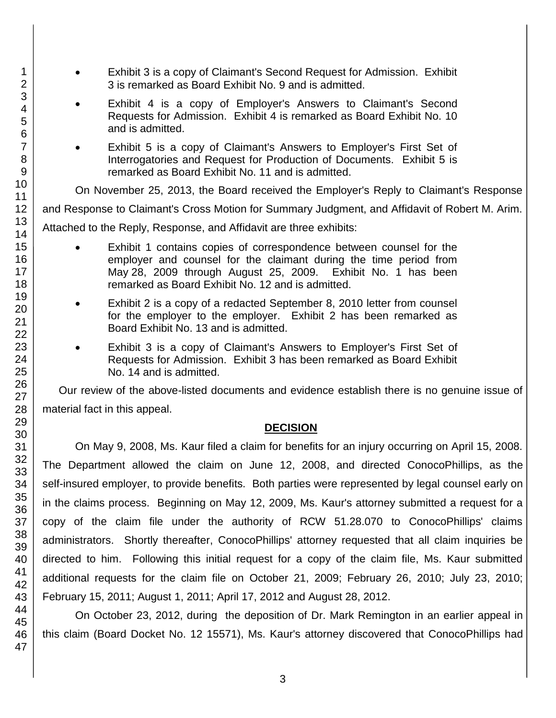3 is remarked as Board Exhibit No. 9 and is admitted. Exhibit 4 is a copy of Employer's Answers to Claimant's Second Requests for Admission. Exhibit 4 is remarked as Board Exhibit No. 10 and is admitted. Exhibit 5 is a copy of Claimant's Answers to Employer's First Set of Interrogatories and Request for Production of Documents. Exhibit 5 is remarked as Board Exhibit No. 11 and is admitted. On November 25, 2013, the Board received the Employer's Reply to Claimant's Response and Response to Claimant's Cross Motion for Summary Judgment, and Affidavit of Robert M. Arim. Attached to the Reply, Response, and Affidavit are three exhibits: Exhibit 1 contains copies of correspondence between counsel for the employer and counsel for the claimant during the time period from May 28, 2009 through August 25, 2009. Exhibit No. 1 has been remarked as Board Exhibit No. 12 and is admitted. Exhibit 2 is a copy of a redacted September 8, 2010 letter from counsel for the employer to the employer. Exhibit 2 has been remarked as Board Exhibit No. 13 and is admitted. Exhibit 3 is a copy of Claimant's Answers to Employer's First Set of Requests for Admission. Exhibit 3 has been remarked as Board Exhibit No. 14 and is admitted. Our review of the above-listed documents and evidence establish there is no genuine issue of material fact in this appeal. **DECISION** On May 9, 2008, Ms. Kaur filed a claim for benefits for an injury occurring on April 15, 2008. The Department allowed the claim on June 12, 2008, and directed ConocoPhillips, as the self-insured employer, to provide benefits. Both parties were represented by legal counsel early on in the claims process. Beginning on May 12, 2009, Ms. Kaur's attorney submitted a request for a copy of the claim file under the authority of RCW 51.28.070 to ConocoPhillips' claims administrators. Shortly thereafter, ConocoPhillips' attorney requested that all claim inquiries be directed to him. Following this initial request for a copy of the claim file, Ms. Kaur submitted additional requests for the claim file on October 21, 2009; February 26, 2010; July 23, 2010; February 15, 2011; August 1, 2011; April 17, 2012 and August 28, 2012. On October 23, 2012, during the deposition of Dr. Mark Remington in an earlier appeal in this claim (Board Docket No. 12 15571), Ms. Kaur's attorney discovered that ConocoPhillips had

Exhibit 3 is a copy of Claimant's Second Request for Admission. Exhibit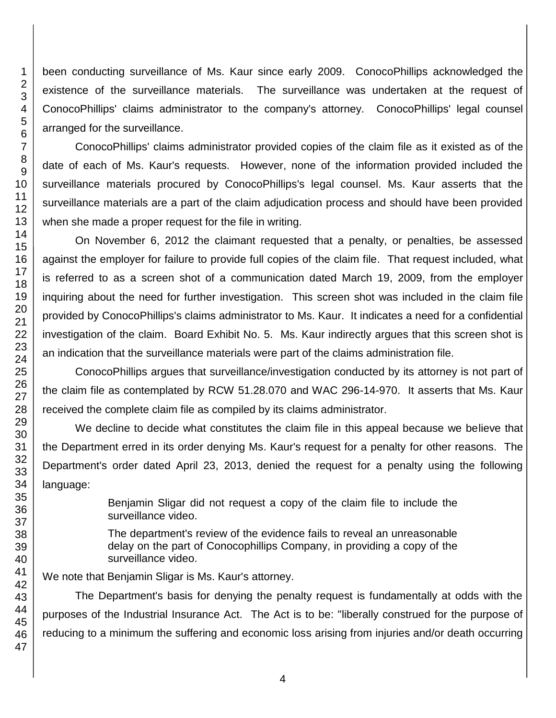been conducting surveillance of Ms. Kaur since early 2009. ConocoPhillips acknowledged the existence of the surveillance materials. The surveillance was undertaken at the request of ConocoPhillips' claims administrator to the company's attorney. ConocoPhillips' legal counsel arranged for the surveillance.

ConocoPhillips' claims administrator provided copies of the claim file as it existed as of the date of each of Ms. Kaur's requests. However, none of the information provided included the surveillance materials procured by ConocoPhillips's legal counsel. Ms. Kaur asserts that the surveillance materials are a part of the claim adjudication process and should have been provided when she made a proper request for the file in writing.

On November 6, 2012 the claimant requested that a penalty, or penalties, be assessed against the employer for failure to provide full copies of the claim file. That request included, what is referred to as a screen shot of a communication dated March 19, 2009, from the employer inquiring about the need for further investigation. This screen shot was included in the claim file provided by ConocoPhillips's claims administrator to Ms. Kaur. It indicates a need for a confidential investigation of the claim. Board Exhibit No. 5. Ms. Kaur indirectly argues that this screen shot is an indication that the surveillance materials were part of the claims administration file.

ConocoPhillips argues that surveillance/investigation conducted by its attorney is not part of the claim file as contemplated by RCW 51.28.070 and WAC 296-14-970. It asserts that Ms. Kaur received the complete claim file as compiled by its claims administrator.

We decline to decide what constitutes the claim file in this appeal because we believe that the Department erred in its order denying Ms. Kaur's request for a penalty for other reasons. The Department's order dated April 23, 2013, denied the request for a penalty using the following language:

> Benjamin Sligar did not request a copy of the claim file to include the surveillance video.

> The department's review of the evidence fails to reveal an unreasonable delay on the part of Conocophillips Company, in providing a copy of the surveillance video.

We note that Benjamin Sligar is Ms. Kaur's attorney.

The Department's basis for denying the penalty request is fundamentally at odds with the purposes of the Industrial Insurance Act. The Act is to be: "liberally construed for the purpose of reducing to a minimum the suffering and economic loss arising from injuries and/or death occurring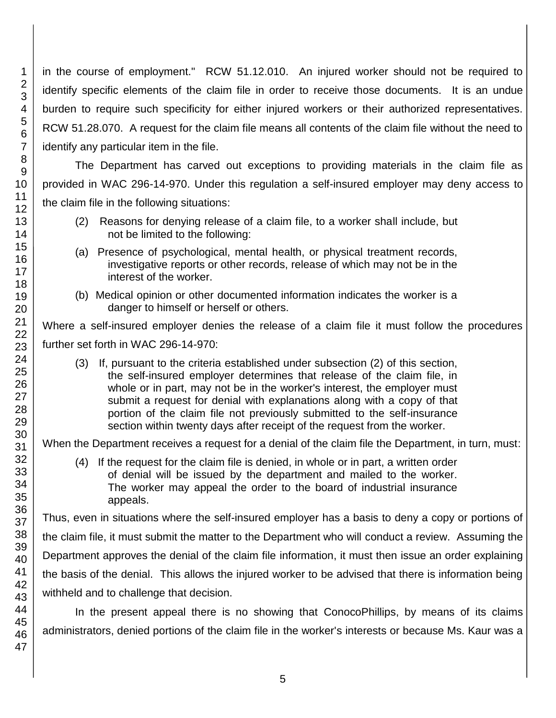in the course of employment." RCW 51.12.010. An injured worker should not be required to identify specific elements of the claim file in order to receive those documents. It is an undue burden to require such specificity for either injured workers or their authorized representatives. RCW 51.28.070. A request for the claim file means all contents of the claim file without the need to identify any particular item in the file.

The Department has carved out exceptions to providing materials in the claim file as provided in WAC 296-14-970. Under this regulation a self-insured employer may deny access to the claim file in the following situations:

- (2) Reasons for denying release of a claim file, to a worker shall include, but not be limited to the following:
- (a) Presence of psychological, mental health, or physical treatment records, investigative reports or other records, release of which may not be in the interest of the worker.
- (b) Medical opinion or other documented information indicates the worker is a danger to himself or herself or others.

Where a self-insured employer denies the release of a claim file it must follow the procedures further set forth in WAC 296-14-970:

(3) If, pursuant to the criteria established under subsection (2) of this section, the self-insured employer determines that release of the claim file, in whole or in part, may not be in the worker's interest, the employer must submit a request for denial with explanations along with a copy of that portion of the claim file not previously submitted to the self-insurance section within twenty days after receipt of the request from the worker.

When the Department receives a request for a denial of the claim file the Department, in turn, must:

(4) If the request for the claim file is denied, in whole or in part, a written order of denial will be issued by the department and mailed to the worker. The worker may appeal the order to the board of industrial insurance appeals.

Thus, even in situations where the self-insured employer has a basis to deny a copy or portions of the claim file, it must submit the matter to the Department who will conduct a review. Assuming the Department approves the denial of the claim file information, it must then issue an order explaining the basis of the denial. This allows the injured worker to be advised that there is information being withheld and to challenge that decision.

In the present appeal there is no showing that ConocoPhillips, by means of its claims administrators, denied portions of the claim file in the worker's interests or because Ms. Kaur was a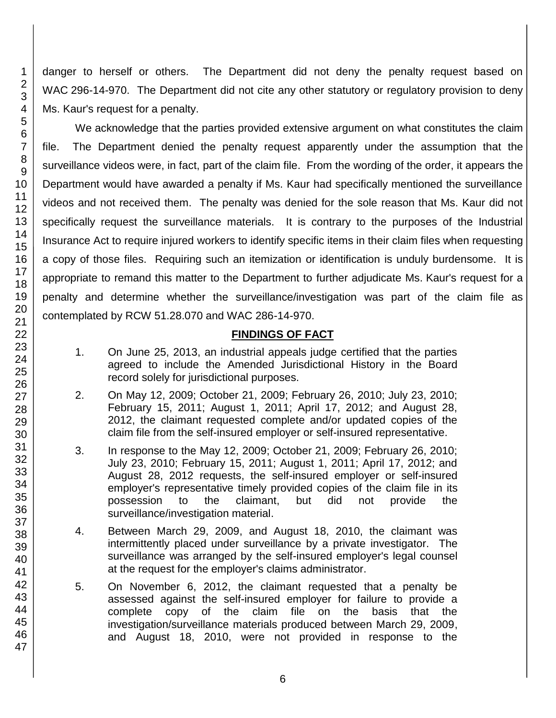danger to herself or others. The Department did not deny the penalty request based on WAC 296-14-970. The Department did not cite any other statutory or regulatory provision to deny Ms. Kaur's request for a penalty.

We acknowledge that the parties provided extensive argument on what constitutes the claim file. The Department denied the penalty request apparently under the assumption that the surveillance videos were, in fact, part of the claim file. From the wording of the order, it appears the Department would have awarded a penalty if Ms. Kaur had specifically mentioned the surveillance videos and not received them. The penalty was denied for the sole reason that Ms. Kaur did not specifically request the surveillance materials. It is contrary to the purposes of the Industrial Insurance Act to require injured workers to identify specific items in their claim files when requesting a copy of those files. Requiring such an itemization or identification is unduly burdensome. It is appropriate to remand this matter to the Department to further adjudicate Ms. Kaur's request for a penalty and determine whether the surveillance/investigation was part of the claim file as contemplated by RCW 51.28.070 and WAC 286-14-970.

# **FINDINGS OF FACT**

- 1. On June 25, 2013, an industrial appeals judge certified that the parties agreed to include the Amended Jurisdictional History in the Board record solely for jurisdictional purposes.
- 2. On May 12, 2009; October 21, 2009; February 26, 2010; July 23, 2010; February 15, 2011; August 1, 2011; April 17, 2012; and August 28, 2012, the claimant requested complete and/or updated copies of the claim file from the self-insured employer or self-insured representative.
- 3. In response to the May 12, 2009; October 21, 2009; February 26, 2010; July 23, 2010; February 15, 2011; August 1, 2011; April 17, 2012; and August 28, 2012 requests, the self-insured employer or self-insured employer's representative timely provided copies of the claim file in its possession to the claimant, but did not provide the surveillance/investigation material.
- 4. Between March 29, 2009, and August 18, 2010, the claimant was intermittently placed under surveillance by a private investigator. The surveillance was arranged by the self-insured employer's legal counsel at the request for the employer's claims administrator.
- 5. On November 6, 2012, the claimant requested that a penalty be assessed against the self-insured employer for failure to provide a complete copy of the claim file on the basis that the investigation/surveillance materials produced between March 29, 2009, and August 18, 2010, were not provided in response to the